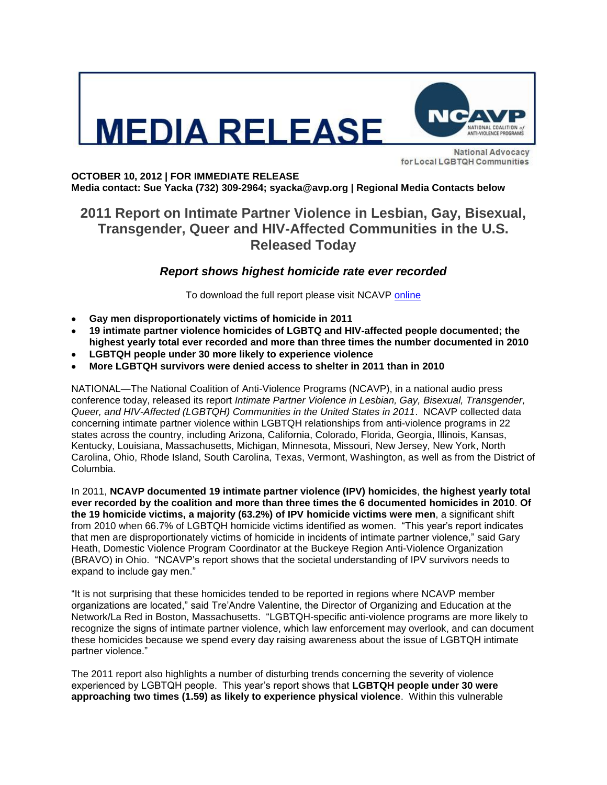



**National Advocacy** for Local LGBTQH Communities

**OCTOBER 10, 2012 | FOR IMMEDIATE RELEASE Media contact: Sue Yacka (732) 309-2964; syacka@avp.org | Regional Media Contacts below**

## **2011 Report on Intimate Partner Violence in Lesbian, Gay, Bisexual, Transgender, Queer and HIV-Affected Communities in the U.S. Released Today**

## *Report shows highest homicide rate ever recorded*

To download the full report please visit NCAVP [online](http://www.avp.org/ncavp.htm)

- **Gay men disproportionately victims of homicide in 2011**
- **19 intimate partner violence homicides of LGBTQ and HIV-affected people documented; the highest yearly total ever recorded and more than three times the number documented in 2010**
- **LGBTQH people under 30 more likely to experience violence**
- **More LGBTQH survivors were denied access to shelter in 2011 than in 2010**

NATIONAL—The National Coalition of Anti-Violence Programs (NCAVP), in a national audio press conference today, released its report *Intimate Partner Violence in Lesbian, Gay, Bisexual, Transgender, Queer, and HIV-Affected (LGBTQH) Communities in the United States in 2011*. NCAVP collected data concerning intimate partner violence within LGBTQH relationships from anti-violence programs in 22 states across the country, including Arizona, California, Colorado, Florida, Georgia, Illinois, Kansas, Kentucky, Louisiana, Massachusetts, Michigan, Minnesota, Missouri, New Jersey, New York, North Carolina, Ohio, Rhode Island, South Carolina, Texas, Vermont, Washington, as well as from the District of Columbia.

In 2011, **NCAVP documented 19 intimate partner violence (IPV) homicides**, **the highest yearly total ever recorded by the coalition and more than three times the 6 documented homicides in 2010**. **Of the 19 homicide victims, a majority (63.2%) of IPV homicide victims were men**, a significant shift from 2010 when 66.7% of LGBTQH homicide victims identified as women. "This year's report indicates that men are disproportionately victims of homicide in incidents of intimate partner violence," said Gary Heath, Domestic Violence Program Coordinator at the Buckeye Region Anti-Violence Organization (BRAVO) in Ohio. "NCAVP's report shows that the societal understanding of IPV survivors needs to expand to include gay men."

"It is not surprising that these homicides tended to be reported in regions where NCAVP member organizations are located," said Tre'Andre Valentine, the Director of Organizing and Education at the Network/La Red in Boston, Massachusetts. "LGBTQH-specific anti-violence programs are more likely to recognize the signs of intimate partner violence, which law enforcement may overlook, and can document these homicides because we spend every day raising awareness about the issue of LGBTQH intimate partner violence."

The 2011 report also highlights a number of disturbing trends concerning the severity of violence experienced by LGBTQH people. This year's report shows that **LGBTQH people under 30 were approaching two times (1.59) as likely to experience physical violence**. Within this vulnerable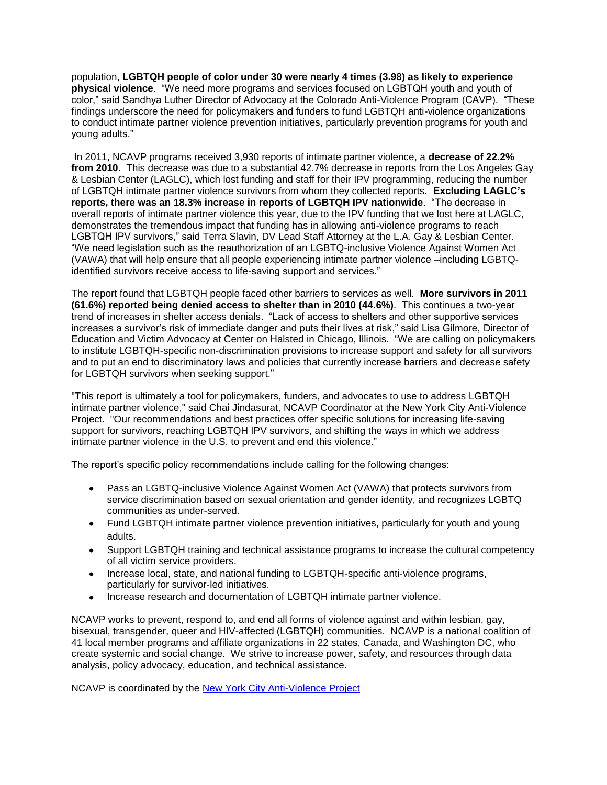population, **LGBTQH people of color under 30 were nearly 4 times (3.98) as likely to experience physical violence**. "We need more programs and services focused on LGBTQH youth and youth of color," said Sandhya Luther Director of Advocacy at the Colorado Anti-Violence Program (CAVP). "These findings underscore the need for policymakers and funders to fund LGBTQH anti-violence organizations to conduct intimate partner violence prevention initiatives, particularly prevention programs for youth and young adults."

In 2011, NCAVP programs received 3,930 reports of intimate partner violence, a **decrease of 22.2% from 2010**. This decrease was due to a substantial 42.7% decrease in reports from the Los Angeles Gay & Lesbian Center (LAGLC), which lost funding and staff for their IPV programming, reducing the number of LGBTQH intimate partner violence survivors from whom they collected reports. **Excluding LAGLC's reports, there was an 18.3% increase in reports of LGBTQH IPV nationwide**. "The decrease in overall reports of intimate partner violence this year, due to the IPV funding that we lost here at LAGLC, demonstrates the tremendous impact that funding has in allowing anti-violence programs to reach LGBTQH IPV survivors," said Terra Slavin, DV Lead Staff Attorney at the L.A. Gay & Lesbian Center. "We need legislation such as the reauthorization of an LGBTQ-inclusive Violence Against Women Act (VAWA) that will help ensure that all people experiencing intimate partner violence –including LGBTQidentified survivors receive access to life-saving support and services."

The report found that LGBTQH people faced other barriers to services as well. **More survivors in 2011 (61.6%) reported being denied access to shelter than in 2010 (44.6%)**. This continues a two-year trend of increases in shelter access denials. "Lack of access to shelters and other supportive services increases a survivor's risk of immediate danger and puts their lives at risk," said Lisa Gilmore, Director of Education and Victim Advocacy at Center on Halsted in Chicago, Illinois. "We are calling on policymakers to institute LGBTQH-specific non-discrimination provisions to increase support and safety for all survivors and to put an end to discriminatory laws and policies that currently increase barriers and decrease safety for LGBTQH survivors when seeking support."

"This report is ultimately a tool for policymakers, funders, and advocates to use to address LGBTQH intimate partner violence," said Chai Jindasurat, NCAVP Coordinator at the New York City Anti-Violence Project. "Our recommendations and best practices offer specific solutions for increasing life-saving support for survivors, reaching LGBTQH IPV survivors, and shifting the ways in which we address intimate partner violence in the U.S. to prevent and end this violence."

The report's specific policy recommendations include calling for the following changes:

- Pass an LGBTQ-inclusive Violence Against Women Act (VAWA) that protects survivors from service discrimination based on sexual orientation and gender identity, and recognizes LGBTQ communities as under-served.
- Fund LGBTQH intimate partner violence prevention initiatives, particularly for youth and young adults.
- Support LGBTQH training and technical assistance programs to increase the cultural competency of all victim service providers.
- Increase local, state, and national funding to LGBTQH-specific anti-violence programs, particularly for survivor-led initiatives.
- Increase research and documentation of LGBTQH intimate partner violence.

NCAVP works to prevent, respond to, and end all forms of violence against and within lesbian, gay, bisexual, transgender, queer and HIV-affected (LGBTQH) communities. NCAVP is a national coalition of 41 local member programs and affiliate organizations in 22 states, Canada, and Washington DC, who create systemic and social change. We strive to increase power, safety, and resources through data analysis, policy advocacy, education, and technical assistance.

NCAVP is coordinated by the [New York City Anti-Violence Project](http://www.avp.org/)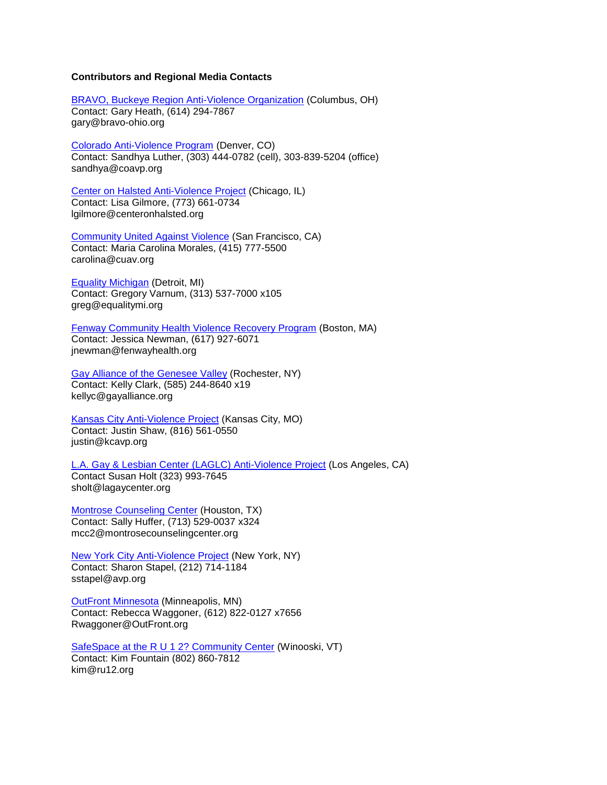## **Contributors and Regional Media Contacts**

[BRAVO, Buckeye Region Anti-Violence Organization](http://www.bravo-ohio.org/) (Columbus, OH) Contact: Gary Heath, (614) 294-7867 gary@bravo-ohio.org

[Colorado Anti-Violence Program](http://www.coavp.org/) (Denver, CO) Contact: Sandhya Luther, (303) 444-0782 (cell), 303-839-5204 (office) sandhya@coavp.org

[Center on Halsted Anti-Violence Project](http://www.centeronhalsted.org/cohavp.html) (Chicago, IL) Contact: Lisa Gilmore, (773) 661-0734 lgilmore@centeronhalsted.org

[Community United Against Violence](http://www.cuav.org/) (San Francisco, CA) Contact: Maria Carolina Morales, (415) 777-5500 carolina@cuav.org

[Equality Michigan](http://equalitymi.org/) (Detroit, MI) Contact: Gregory Varnum, (313) 537-7000 x105 greg@equalitymi.org

[Fenway Community Health Violence Recovery Program](http://www.fenwayhealth.org/site/PageServer?pagename=FCHC_srv_services_violence) (Boston, MA) Contact: Jessica Newman, (617) 927-6071 jnewman@fenwayhealth.org

[Gay Alliance of the Genesee Valley](http://www.gayalliance.org/programs/avp.html) (Rochester, NY) Contact: Kelly Clark, (585) 244-8640 x19 kellyc@gayalliance.org

[Kansas City Anti-Violence Project](http://www.kcavp.org/site/) (Kansas City, MO) Contact: Justin Shaw, (816) 561-0550 justin@kcavp.org

L.A. [Gay & Lesbian Center \(LAGLC\) Anti-Violence Project](http://www.lagaycenter.org/site/PageServer?pagename=Anti_Violence_Project) (Los Angeles, CA) Contact Susan Holt (323) 993-7645 sholt@lagaycenter.org

[Montrose Counseling Center](http://www.montrosecounselingcenter.org/?p=524) (Houston, TX) Contact: Sally Huffer, (713) 529-0037 x324 mcc2@montrosecounselingcenter.org

[New York City Anti-Violence Project](http://www.avp.org/) (New York, NY) Contact: Sharon Stapel, (212) 714-1184 sstapel@avp.org

[OutFront Minnesota](http://www.outfront.org/home) (Minneapolis, MN) Contact: Rebecca Waggoner, (612) 822-0127 x7656 Rwaggoner@OutFront.org

[SafeSpace at the R U 1 2? Community Center](http://www.ru12.org/safespace.html) (Winooski, VT) Contact: Kim Fountain (802) 860-7812 kim@ru12.org